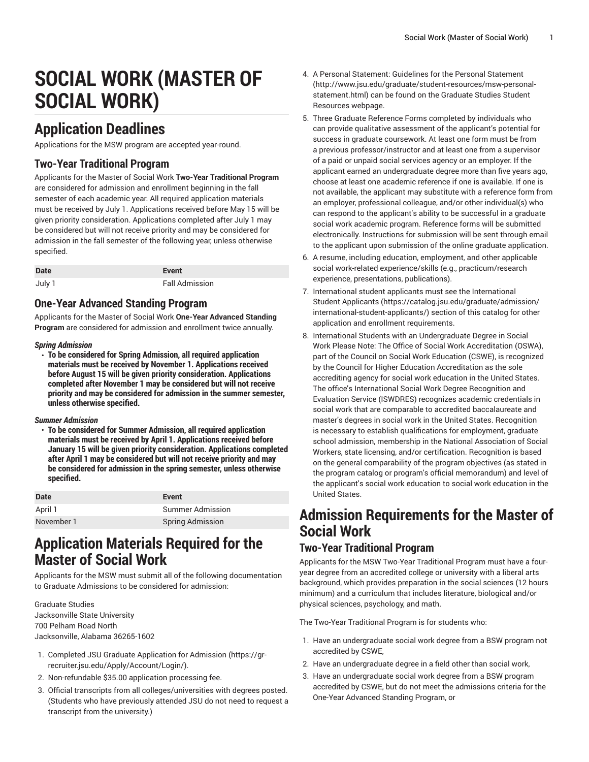# **SOCIAL WORK (MASTER OF SOCIAL WORK)**

# **Application Deadlines**

Applications for the MSW program are accepted year-round.

#### **Two-Year Traditional Program**

Applicants for the Master of Social Work **Two-Year Traditional Program** are considered for admission and enrollment beginning in the fall semester of each academic year. All required application materials must be received by July 1. Applications received before May 15 will be given priority consideration. Applications completed after July 1 may be considered but will not receive priority and may be considered for admission in the fall semester of the following year, unless otherwise specified.

| <b>Date</b> | Event                 |
|-------------|-----------------------|
| July 1      | <b>Fall Admission</b> |

#### **One-Year Advanced Standing Program**

Applicants for the Master of Social Work **One-Year Advanced Standing Program** are considered for admission and enrollment twice annually.

#### *Spring Admission*

• **To be considered for Spring Admission, all required application materials must be received by November 1. Applications received before August 15 will be given priority consideration. Applications completed after November 1 may be considered but will not receive priority and may be considered for admission in the summer semester, unless otherwise specified.**

#### *Summer Admission*

• **To be considered for Summer Admission, all required application materials must be received by April 1. Applications received before January 15 will be given priority consideration. Applications completed after April 1 may be considered but will not receive priority and may be considered for admission in the spring semester, unless otherwise specified.** 

| <b>Date</b> | Event                   |
|-------------|-------------------------|
| April 1     | Summer Admission        |
| November 1  | <b>Spring Admission</b> |

### **Application Materials Required for the Master of Social Work**

Applicants for the MSW must submit all of the following documentation to Graduate Admissions to be considered for admission:

Graduate Studies Jacksonville State University 700 Pelham Road North Jacksonville, Alabama 36265-1602

- 1. Completed JSU [Graduate Application for Admission \(https://gr](https://gr-recruiter.jsu.edu/Apply/Account/Login/)[recruiter.jsu.edu/Apply/Account/Login/](https://gr-recruiter.jsu.edu/Apply/Account/Login/)).
- 2. Non-refundable \$35.00 application processing fee.
- 3. Official transcripts from all colleges/universities with degrees posted. (Students who have previously attended JSU do not need to request a transcript from the university.)
- 4. A Personal Statement: [Guidelines](http://www.jsu.edu/graduate/student-resources/msw-personal-statement.html) for the Personal Statement [\(http://www.jsu.edu/graduate/student-resources/msw-personal](http://www.jsu.edu/graduate/student-resources/msw-personal-statement.html)[statement.html\)](http://www.jsu.edu/graduate/student-resources/msw-personal-statement.html) can be found on the Graduate Studies Student Resources webpage.
- 5. Three Graduate Reference Forms completed by individuals who can provide qualitative assessment of the applicant's potential for success in graduate coursework. At least one form must be from a previous professor/instructor and at least one from a supervisor of a paid or unpaid social services agency or an employer. If the applicant earned an undergraduate degree more than five years ago, choose at least one academic reference if one is available. If one is not available, the applicant may substitute with a reference form from an employer, professional colleague, and/or other individual(s) who can respond to the applicant's ability to be successful in a graduate social work academic program. Reference forms will be submitted electronically. Instructions for submission will be sent through email to the applicant upon submission of the online graduate application.
- 6. A resume, including education, employment, and other applicable social work-related experience/skills (e.g., practicum/research experience, presentations, publications).
- 7. International student applicants must see the [International](https://catalog.jsu.edu/graduate/admission/international-student-applicants/) [Student Applicants](https://catalog.jsu.edu/graduate/admission/international-student-applicants/) ([https://catalog.jsu.edu/graduate/admission/](https://catalog.jsu.edu/graduate/admission/international-student-applicants/) [international-student-applicants/\)](https://catalog.jsu.edu/graduate/admission/international-student-applicants/) section of this catalog for other application and enrollment requirements.
- 8. International Students with an Undergraduate Degree in Social Work Please Note: The Office of Social Work Accreditation (OSWA), part of the Council on Social Work Education (CSWE), is recognized by the Council for Higher Education Accreditation as the sole accrediting agency for social work education in the United States. The office's International Social Work Degree Recognition and Evaluation Service (ISWDRES) recognizes academic credentials in social work that are comparable to accredited baccalaureate and master's degrees in social work in the United States. Recognition is necessary to establish qualifications for employment, graduate school admission, membership in the National Association of Social Workers, state licensing, and/or certification. Recognition is based on the general comparability of the program objectives (as stated in the program catalog or program's official memorandum) and level of the applicant's social work education to social work education in the United States.

# **Admission Requirements for the Master of Social Work**

#### **Two-Year Traditional Program**

Applicants for the MSW Two-Year Traditional Program must have a fouryear degree from an accredited college or university with a liberal arts background, which provides preparation in the social sciences (12 hours minimum) and a curriculum that includes literature, biological and/or physical sciences, psychology, and math.

The Two-Year Traditional Program is for students who:

- 1. Have an undergraduate social work degree from a BSW program not accredited by CSWE,
- 2. Have an undergraduate degree in a field other than social work,
- 3. Have an undergraduate social work degree from a BSW program accredited by CSWE, but do not meet the admissions criteria for the One-Year Advanced Standing Program, or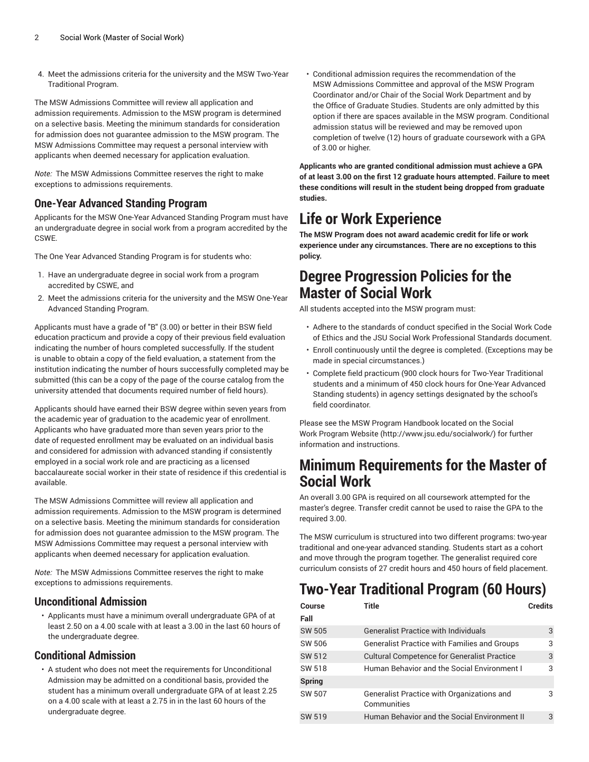4. Meet the admissions criteria for the university and the MSW Two-Year Traditional Program.

The MSW Admissions Committee will review all application and admission requirements. Admission to the MSW program is determined on a selective basis. Meeting the minimum standards for consideration for admission does not guarantee admission to the MSW program. The MSW Admissions Committee may request a personal interview with applicants when deemed necessary for application evaluation.

*Note:* The MSW Admissions Committee reserves the right to make exceptions to admissions requirements.

#### **One-Year Advanced Standing Program**

Applicants for the MSW One-Year Advanced Standing Program must have an undergraduate degree in social work from a program accredited by the **CSWE** 

The One Year Advanced Standing Program is for students who:

- 1. Have an undergraduate degree in social work from a program accredited by CSWE, and
- 2. Meet the admissions criteria for the university and the MSW One-Year Advanced Standing Program.

Applicants must have a grade of "B" (3.00) or better in their BSW field education practicum and provide a copy of their previous field evaluation indicating the number of hours completed successfully. If the student is unable to obtain a copy of the field evaluation, a statement from the institution indicating the number of hours successfully completed may be submitted (this can be a copy of the page of the course catalog from the university attended that documents required number of field hours).

Applicants should have earned their BSW degree within seven years from the academic year of graduation to the academic year of enrollment. Applicants who have graduated more than seven years prior to the date of requested enrollment may be evaluated on an individual basis and considered for admission with advanced standing if consistently employed in a social work role and are practicing as a licensed baccalaureate social worker in their state of residence if this credential is available.

The MSW Admissions Committee will review all application and admission requirements. Admission to the MSW program is determined on a selective basis. Meeting the minimum standards for consideration for admission does not guarantee admission to the MSW program. The MSW Admissions Committee may request a personal interview with applicants when deemed necessary for application evaluation.

*Note:* The MSW Admissions Committee reserves the right to make exceptions to admissions requirements.

#### **Unconditional Admission**

• Applicants must have a minimum overall undergraduate GPA of at least 2.50 on a 4.00 scale with at least a 3.00 in the last 60 hours of the undergraduate degree.

#### **Conditional Admission**

• A student who does not meet the requirements for Unconditional Admission may be admitted on a conditional basis, provided the student has a minimum overall undergraduate GPA of at least 2.25 on a 4.00 scale with at least a 2.75 in in the last 60 hours of the undergraduate degree.

• Conditional admission requires the recommendation of the MSW Admissions Committee and approval of the MSW Program Coordinator and/or Chair of the Social Work Department and by the Office of Graduate Studies. Students are only admitted by this option if there are spaces available in the MSW program. Conditional admission status will be reviewed and may be removed upon completion of twelve (12) hours of graduate coursework with a GPA of 3.00 or higher.

**Applicants who are granted conditional admission must achieve a GPA of at least 3.00 on the first 12 graduate hours attempted. Failure to meet these conditions will result in the student being dropped from graduate studies.**

# **Life or Work Experience**

**The MSW Program does not award academic credit for life or work experience under any circumstances. There are no exceptions to this policy.**

### **Degree Progression Policies for the Master of Social Work**

All students accepted into the MSW program must:

- Adhere to the standards of conduct specified in the Social Work Code of Ethics and the JSU Social Work Professional Standards document.
- Enroll continuously until the degree is completed. (Exceptions may be made in special circumstances.)
- Complete field practicum (900 clock hours for Two-Year Traditional students and a minimum of 450 clock hours for One-Year Advanced Standing students) in agency settings designated by the school's field coordinator.

Please see the MSW Program Handbook located on the [Social](http://www.jsu.edu/socialwork/) Work [Program](http://www.jsu.edu/socialwork/) Website [\(http://www.jsu.edu/socialwork/\)](http://www.jsu.edu/socialwork/) for further information and instructions.

### **Minimum Requirements for the Master of Social Work**

An overall 3.00 GPA is required on all coursework attempted for the master's degree. Transfer credit cannot be used to raise the GPA to the required 3.00.

The MSW curriculum is structured into two different programs: two-year traditional and one-year advanced standing. Students start as a cohort and move through the program together. The generalist required core curriculum consists of 27 credit hours and 450 hours of field placement.

# **Two-Year Traditional Program (60 Hours)**

| Course<br>Fall | Title                                                     | <b>Credits</b> |
|----------------|-----------------------------------------------------------|----------------|
| <b>SW 505</b>  | <b>Generalist Practice with Individuals</b>               | 3              |
| SW 506         | <b>Generalist Practice with Families and Groups</b>       | 3              |
| SW 512         | <b>Cultural Competence for Generalist Practice</b>        | 3              |
| SW 518         | Human Behavior and the Social Environment I               | 3              |
| <b>Spring</b>  |                                                           |                |
| SW 507         | Generalist Practice with Organizations and<br>Communities | 3              |
| SW 519         | Human Behavior and the Social Environment II              | 3              |